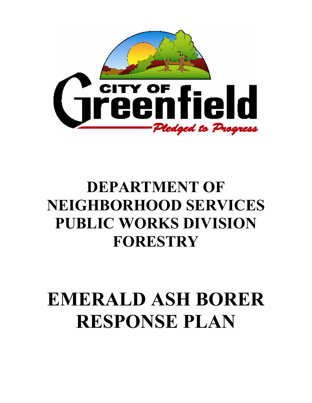

## **DEPARTMENT OF NEIGHBORHOOD SERVICES PUBLIC WORKS DIVISION FORESTRY**

# **EMERALD ASH BORER RESPONSE PLAN**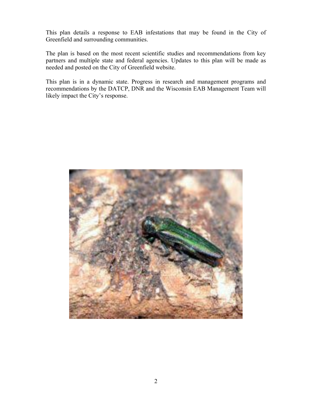This plan details a response to EAB infestations that may be found in the City of Greenfield and surrounding communities.

The plan is based on the most recent scientific studies and recommendations from key partners and multiple state and federal agencies. Updates to this plan will be made as needed and posted on the City of Greenfield website.

This plan is in a dynamic state. Progress in research and management programs and recommendations by the DATCP, DNR and the Wisconsin EAB Management Team will likely impact the City's response.

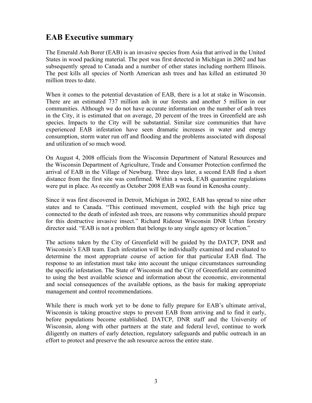## **EAB Executive summary**

The Emerald Ash Borer (EAB) is an invasive species from Asia that arrived in the United States in wood packing material. The pest was first detected in Michigan in 2002 and has subsequently spread to Canada and a number of other states including northern Illinois. The pest kills all species of North American ash trees and has killed an estimated 30 million trees to date.

When it comes to the potential devastation of EAB, there is a lot at stake in Wisconsin. There are an estimated 737 million ash in our forests and another 5 million in our communities. Although we do not have accurate information on the number of ash trees in the City, it is estimated that on average, 20 percent of the trees in Greenfield are ash species. Impacts to the City will be substantial. Similar size communities that have experienced EAB infestation have seen dramatic increases in water and energy consumption, storm water run off and flooding and the problems associated with disposal and utilization of so much wood.

On August 4, 2008 officials from the Wisconsin Department of Natural Resources and the Wisconsin Department of Agriculture, Trade and Consumer Protection confirmed the arrival of EAB in the Village of Newburg. Three days later, a second EAB find a short distance from the first site was confirmed. Within a week, EAB quarantine regulations were put in place. As recently as October 2008 EAB was found in Kenosha county.

Since it was first discovered in Detroit, Michigan in 2002, EAB has spread to nine other states and to Canada. "This continued movement, coupled with the high price tag connected to the death of infested ash trees, are reasons why communities should prepare for this destructive invasive insect." Richard Rideout Wisconsin DNR Urban forestry director said. "EAB is not a problem that belongs to any single agency or location."

The actions taken by the City of Greenfield will be guided by the DATCP, DNR and Wisconsin's EAB team. Each infestation will be individually examined and evaluated to determine the most appropriate course of action for that particular EAB find. The response to an infestation must take into account the unique circumstances surrounding the specific infestation. The State of Wisconsin and the City of Greenfield are committed to using the best available science and information about the economic, environmental and social consequences of the available options, as the basis for making appropriate management and control recommendations.

While there is much work yet to be done to fully prepare for EAB's ultimate arrival, Wisconsin is taking proactive steps to prevent EAB from arriving and to find it early, before populations become established. DATCP, DNR staff and the University of Wisconsin, along with other partners at the state and federal level, continue to work diligently on matters of early detection, regulatory safeguards and public outreach in an effort to protect and preserve the ash resource across the entire state.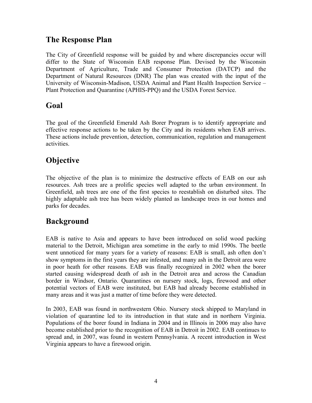## **The Response Plan**

The City of Greenfield response will be guided by and where discrepancies occur will differ to the State of Wisconsin EAB response Plan. Devised by the Wisconsin Department of Agriculture, Trade and Consumer Protection (DATCP) and the Department of Natural Resources (DNR) The plan was created with the input of the University of Wisconsin-Madison, USDA Animal and Plant Health Inspection Service – Plant Protection and Quarantine (APHIS-PPQ) and the USDA Forest Service.

## **Goal**

The goal of the Greenfield Emerald Ash Borer Program is to identify appropriate and effective response actions to be taken by the City and its residents when EAB arrives. These actions include prevention, detection, communication, regulation and management activities.

## **Objective**

The objective of the plan is to minimize the destructive effects of EAB on our ash resources. Ash trees are a prolific species well adapted to the urban environment. In Greenfield, ash trees are one of the first species to reestablish on disturbed sites. The highly adaptable ash tree has been widely planted as landscape trees in our homes and parks for decades.

## **Background**

EAB is native to Asia and appears to have been introduced on solid wood packing material to the Detroit, Michigan area sometime in the early to mid 1990s. The beetle went unnoticed for many years for a variety of reasons: EAB is small, ash often don't show symptoms in the first years they are infested, and many ash in the Detroit area were in poor heath for other reasons. EAB was finally recognized in 2002 when the borer started causing widespread death of ash in the Detroit area and across the Canadian border in Windsor, Ontario. Quarantines on nursery stock, logs, firewood and other potential vectors of EAB were instituted, but EAB had already become established in many areas and it was just a matter of time before they were detected.

In 2003, EAB was found in northwestern Ohio. Nursery stock shipped to Maryland in violation of quarantine led to its introduction in that state and in northern Virginia. Populations of the borer found in Indiana in 2004 and in Illinois in 2006 may also have become established prior to the recognition of EAB in Detroit in 2002. EAB continues to spread and, in 2007, was found in western Pennsylvania. A recent introduction in West Virginia appears to have a firewood origin.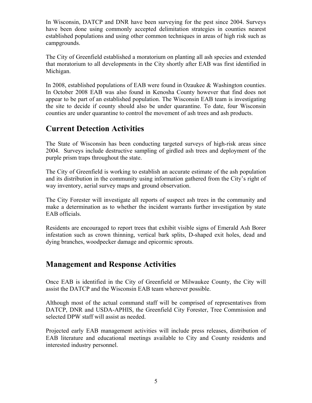In Wisconsin, DATCP and DNR have been surveying for the pest since 2004. Surveys have been done using commonly accepted delimitation strategies in counties nearest established populations and using other common techniques in areas of high risk such as campgrounds.

The City of Greenfield established a moratorium on planting all ash species and extended that moratorium to all developments in the City shortly after EAB was first identified in Michigan.

In 2008, established populations of EAB were found in Ozaukee & Washington counties. In October 2008 EAB was also found in Kenosha County however that find does not appear to be part of an established population. The Wisconsin EAB team is investigating the site to decide if county should also be under quarantine. To date, four Wisconsin counties are under quarantine to control the movement of ash trees and ash products.

## **Current Detection Activities**

The State of Wisconsin has been conducting targeted surveys of high-risk areas since 2004. Surveys include destructive sampling of girdled ash trees and deployment of the purple prism traps throughout the state.

The City of Greenfield is working to establish an accurate estimate of the ash population and its distribution in the community using information gathered from the City's right of way inventory, aerial survey maps and ground observation.

The City Forester will investigate all reports of suspect ash trees in the community and make a determination as to whether the incident warrants further investigation by state EAB officials.

Residents are encouraged to report trees that exhibit visible signs of Emerald Ash Borer infestation such as crown thinning, vertical bark splits, D-shaped exit holes, dead and dying branches, woodpecker damage and epicormic sprouts.

## **Management and Response Activities**

Once EAB is identified in the City of Greenfield or Milwaukee County, the City will assist the DATCP and the Wisconsin EAB team wherever possible.

Although most of the actual command staff will be comprised of representatives from DATCP, DNR and USDA-APHIS, the Greenfield City Forester, Tree Commission and selected DPW staff will assist as needed.

Projected early EAB management activities will include press releases, distribution of EAB literature and educational meetings available to City and County residents and interested industry personnel.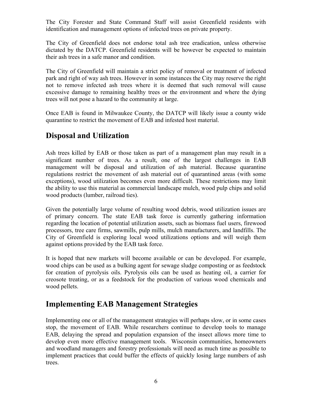The City Forester and State Command Staff will assist Greenfield residents with identification and management options of infected trees on private property.

The City of Greenfield does not endorse total ash tree eradication, unless otherwise dictated by the DATCP. Greenfield residents will be however be expected to maintain their ash trees in a safe manor and condition.

The City of Greenfield will maintain a strict policy of removal or treatment of infected park and right of way ash trees. However in some instances the City may reserve the right not to remove infected ash trees where it is deemed that such removal will cause excessive damage to remaining healthy trees or the environment and where the dying trees will not pose a hazard to the community at large.

Once EAB is found in Milwaukee County, the DATCP will likely issue a county wide quarantine to restrict the movement of EAB and infested host material.

## **Disposal and Utilization**

Ash trees killed by EAB or those taken as part of a management plan may result in a significant number of trees. As a result, one of the largest challenges in EAB management will be disposal and utilization of ash material. Because quarantine regulations restrict the movement of ash material out of quarantined areas (with some exceptions), wood utilization becomes even more difficult. These restrictions may limit the ability to use this material as commercial landscape mulch, wood pulp chips and solid wood products (lumber, railroad ties).

Given the potentially large volume of resulting wood debris, wood utilization issues are of primary concern. The state EAB task force is currently gathering information regarding the location of potential utilization assets, such as biomass fuel users, firewood processors, tree care firms, sawmills, pulp mills, mulch manufacturers, and landfills. The City of Greenfield is exploring local wood utilizations options and will weigh them against options provided by the EAB task force.

It is hoped that new markets will become available or can be developed. For example, wood chips can be used as a bulking agent for sewage sludge composting or as feedstock for creation of pyrolysis oils. Pyrolysis oils can be used as heating oil, a carrier for creosote treating, or as a feedstock for the production of various wood chemicals and wood pellets.

## **Implementing EAB Management Strategies**

Implementing one or all of the management strategies will perhaps slow, or in some cases stop, the movement of EAB. While researchers continue to develop tools to manage EAB, delaying the spread and population expansion of the insect allows more time to develop even more effective management tools. Wisconsin communities, homeowners and woodland managers and forestry professionals will need as much time as possible to implement practices that could buffer the effects of quickly losing large numbers of ash trees.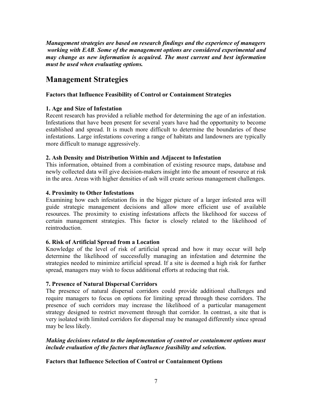*Management strategies are based on research findings and the experience of managers working with EAB. Some of the management options are considered experimental and may change as new information is acquired. The most current and best information must be used when evaluating options.* 

## **Management Strategies**

#### **Factors that Influence Feasibility of Control or Containment Strategies**

#### **1. Age and Size of Infestation**

Recent research has provided a reliable method for determining the age of an infestation. Infestations that have been present for several years have had the opportunity to become established and spread. It is much more difficult to determine the boundaries of these infestations. Large infestations covering a range of habitats and landowners are typically more difficult to manage aggressively.

#### **2. Ash Density and Distribution Within and Adjacent to Infestation**

This information, obtained from a combination of existing resource maps, database and newly collected data will give decision-makers insight into the amount of resource at risk in the area. Areas with higher densities of ash will create serious management challenges.

#### **4. Proximity to Other Infestations**

Examining how each infestation fits in the bigger picture of a larger infested area will guide strategic management decisions and allow more efficient use of available resources. The proximity to existing infestations affects the likelihood for success of certain management strategies. This factor is closely related to the likelihood of reintroduction.

#### **6. Risk of Artificial Spread from a Location**

Knowledge of the level of risk of artificial spread and how it may occur will help determine the likelihood of successfully managing an infestation and determine the strategies needed to minimize artificial spread. If a site is deemed a high risk for further spread, managers may wish to focus additional efforts at reducing that risk.

#### **7. Presence of Natural Dispersal Corridors**

The presence of natural dispersal corridors could provide additional challenges and require managers to focus on options for limiting spread through these corridors. The presence of such corridors may increase the likelihood of a particular management strategy designed to restrict movement through that corridor. In contrast, a site that is very isolated with limited corridors for dispersal may be managed differently since spread may be less likely.

#### *Making decisions related to the implementation of control or containment options must include evaluation of the factors that influence feasibility and selection.*

#### **Factors that Influence Selection of Control or Containment Options**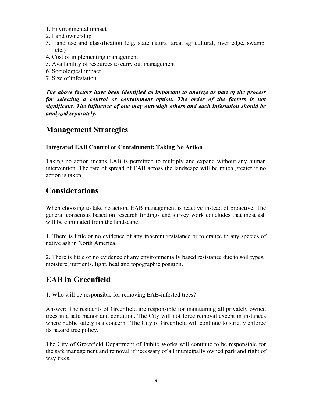- 1. Environmental impact
- 2. Land ownership
- 3. Land use and classification (e.g. state natural area, agricultural, river edge, swamp, etc.)
- 4. Cost of implementing management
- 5. Availability of resources to carry out management
- 6. Sociological impact
- 7. Size of infestation

*The above factors have been identified as important to analyze as part of the process for selecting a control or containment option. The order of the factors is not significant. The influence of one may outweigh others and each infestation should be analyzed separately.* 

## **Management Strategies**

#### **Integrated EAB Control or Containment: Taking No Action**

Taking no action means EAB is permitted to multiply and expand without any human intervention. The rate of spread of EAB across the landscape will be much greater if no action is taken.

## **Considerations**

When choosing to take no action, EAB management is reactive instead of proactive. The general consensus based on research findings and survey work concludes that most ash will be eliminated from the landscape.

1. There is little or no evidence of any inherent resistance or tolerance in any species of native ash in North America.

2. There is little or no evidence of any environmentally based resistance due to soil types, moisture, nutrients, light, heat and topographic position.

## **EAB in Greenfield**

1. Who will be responsible for removing EAB-infested trees?

Answer: The residents of Greenfield are responsible for maintaining all privately owned trees in a safe manor and condition. The City will not force removal except in instances where public safety is a concern. The City of Greenfield will continue to strictly enforce its hazard tree policy.

The City of Greenfield Department of Public Works will continue to be responsible for the safe management and removal if necessary of all municipally owned park and right of way trees.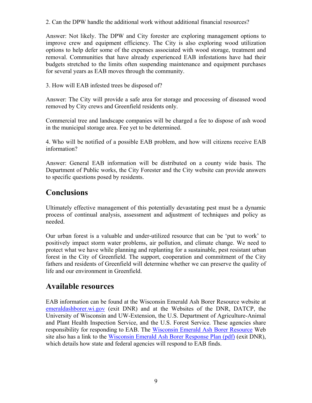2. Can the DPW handle the additional work without additional financial resources?

Answer: Not likely. The DPW and City forester are exploring management options to improve crew and equipment efficiency. The City is also exploring wood utilization options to help defer some of the expenses associated with wood storage, treatment and removal. Communities that have already experienced EAB infestations have had their budgets stretched to the limits often suspending maintenance and equipment purchases for several years as EAB moves through the community.

3. How will EAB infested trees be disposed of?

Answer: The City will provide a safe area for storage and processing of diseased wood removed by City crews and Greenfield residents only.

Commercial tree and landscape companies will be charged a fee to dispose of ash wood in the municipal storage area. Fee yet to be determined.

4. Who will be notified of a possible EAB problem, and how will citizens receive EAB information?

Answer: General EAB information will be distributed on a county wide basis. The Department of Public works, the City Forester and the City website can provide answers to specific questions posed by residents.

## **Conclusions**

Ultimately effective management of this potentially devastating pest must be a dynamic process of continual analysis, assessment and adjustment of techniques and policy as needed.

Our urban forest is a valuable and under-utilized resource that can be 'put to work' to positively impact storm water problems, air pollution, and climate change. We need to protect what we have while planning and replanting for a sustainable, pest resistant urban forest in the City of Greenfield. The support, cooperation and commitment of the City fathers and residents of Greenfield will determine whether we can preserve the quality of life and our environment in Greenfield.

## **Available resources**

EAB information can be found at the Wisconsin Emerald Ash Borer Resource website at emeraldashborer.wi.gov (exit DNR) and at the Websites of the DNR, DATCP, the University of Wisconsin and UW-Extension, the U.S. Department of Agriculture-Animal and Plant Health Inspection Service, and the U.S. Forest Service. These agencies share responsibility for responding to EAB. The Wisconsin Emerald Ash Borer Resource Web site also has a link to the Wisconsin Emerald Ash Borer Response Plan (pdf) (exit DNR), which details how state and federal agencies will respond to EAB finds.